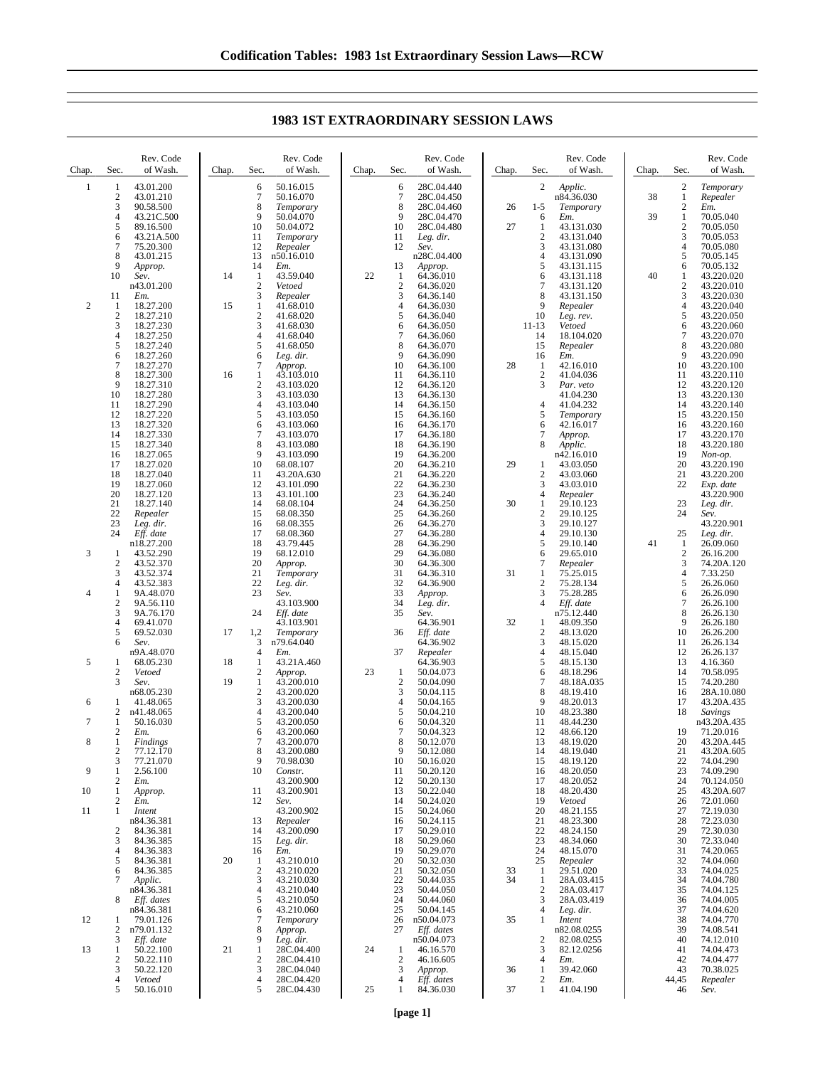| Chap.          | Sec.                           | Rev. Code<br>of Wash.    | Chap. | Sec.                         | Rev. Code<br>of Wash.    | Chap. | Sec.                               | Rev. Code<br>of Wash.    | Chap. | Sec.                             | Rev. Code<br>of Wash.    | Chap. | Sec.                           | Rev. Code<br>of Wash.    |
|----------------|--------------------------------|--------------------------|-------|------------------------------|--------------------------|-------|------------------------------------|--------------------------|-------|----------------------------------|--------------------------|-------|--------------------------------|--------------------------|
| 1              | 1                              | 43.01.200                |       | 6                            | 50.16.015                |       | 6                                  | 28C.04.440               |       | 2                                | Applic.                  |       | $\sqrt{2}$                     | Temporary                |
|                | $\boldsymbol{2}$<br>3          | 43.01.210<br>90.58.500   |       | 7<br>8                       | 50.16.070<br>Temporary   |       | 7<br>8                             | 28C.04.450<br>28C.04.460 | 26    | $1 - 5$                          | n84.36.030<br>Temporary  | 38    | $\mathbf{1}$<br>$\sqrt{2}$     | Repealer<br>Em.          |
|                | 4                              | 43.21C.500               |       | 9<br>10                      | 50.04.070                |       | 9                                  | 28C.04.470               | 27    | 6                                | Em.                      | 39    | $\mathbf{1}$<br>$\overline{c}$ | 70.05.040                |
|                | 5<br>6                         | 89.16.500<br>43.21A.500  |       | 11                           | 50.04.072<br>Temporary   |       | 10<br>11                           | 28C.04.480<br>Leg. dir.  |       | 1<br>$\overline{c}$              | 43.131.030<br>43.131.040 |       | 3                              | 70.05.050<br>70.05.053   |
|                | 7                              | 75.20.300                |       | 12                           | Repealer                 |       | 12                                 | Sev.                     |       | 3                                | 43.131.080               |       | 4                              | 70.05.080                |
|                | 8<br>9                         | 43.01.215<br>Approp.     |       | 13<br>14                     | n50.16.010<br>Em.        |       | 13                                 | n28C.04.400<br>Approp.   |       | 4<br>5                           | 43.131.090<br>43.131.115 |       | 5<br>6                         | 70.05.145<br>70.05.132   |
|                | 10                             | Sev.                     | 14    | 1                            | 43.59.040                | 22    | $\mathbf{1}$                       | 64.36.010<br>64.36.020   |       | 6<br>7                           | 43.131.118               | 40    | 1                              | 43.220.020<br>43.220.010 |
|                | 11                             | n43.01.200<br>Em.        |       | $\boldsymbol{2}$<br>3        | Vetoed<br>Repealer       |       | $\boldsymbol{2}$<br>$\mathfrak{Z}$ | 64.36.140                |       | 8                                | 43.131.120<br>43.131.150 |       | $\overline{c}$<br>3            | 43.220.030               |
| $\overline{c}$ | 1<br>$\boldsymbol{2}$          | 18.27.200<br>18.27.210   | 15    | $\mathbf{1}$<br>$\sqrt{2}$   | 41.68.010<br>41.68.020   |       | 4<br>5                             | 64.36.030<br>64.36.040   |       | 9<br>10                          | Repealer<br>Leg. rev.    |       | 4<br>5                         | 43.220.040<br>43.220.050 |
|                | 3                              | 18.27.230                |       | 3                            | 41.68.030                |       | 6                                  | 64.36.050                |       | 11-13                            | Vetoed                   |       | 6                              | 43.220.060               |
|                | 4<br>5                         | 18.27.250<br>18.27.240   |       | $\overline{4}$<br>5          | 41.68.040<br>41.68.050   |       | $\overline{7}$<br>8                | 64.36.060<br>64.36.070   |       | 14<br>15                         | 18.104.020<br>Repealer   |       | $\tau$<br>8                    | 43.220.070<br>43.220.080 |
|                | 6                              | 18.27.260                |       | 6                            | Leg. dir.                |       | 9                                  | 64.36.090                |       | 16                               | Em.                      |       | 9                              | 43.220.090               |
|                | 7<br>8                         | 18.27.270<br>18.27.300   | 16    | 7<br>1                       | Approp.<br>43.103.010    |       | 10<br>11                           | 64.36.100<br>64.36.110   | 28    | 1<br>$\mathbf{2}$                | 42.16.010<br>41.04.036   |       | 10<br>11                       | 43.220.100<br>43.220.110 |
|                | 9                              | 18.27.310                |       | $\boldsymbol{2}$             | 43.103.020               |       | 12                                 | 64.36.120                |       | 3                                | Par. veto                |       | 12                             | 43.220.120               |
|                | 10<br>11                       | 18.27.280<br>18.27.290   |       | 3<br>$\overline{4}$          | 43.103.030<br>43.103.040 |       | 13<br>14                           | 64.36.130<br>64.36.150   |       | 4                                | 41.04.230<br>41.04.232   |       | 13<br>14                       | 43.220.130<br>43.220.140 |
|                | 12<br>13                       | 18.27.220<br>18.27.320   |       | 5<br>6                       | 43.103.050<br>43.103.060 |       | 15<br>16                           | 64.36.160<br>64.36.170   |       | 5<br>6                           | Temporary<br>42.16.017   |       | 15<br>16                       | 43.220.150<br>43.220.160 |
|                | 14                             | 18.27.330                |       | 7                            | 43.103.070               |       | 17                                 | 64.36.180                |       | 7                                | Approp.                  |       | 17                             | 43.220.170               |
|                | 15<br>16                       | 18.27.340<br>18.27.065   |       | 8<br>9                       | 43.103.080<br>43.103.090 |       | 18<br>19                           | 64.36.190<br>64.36.200   |       | 8                                | Applic.<br>n42.16.010    |       | 18<br>19                       | 43.220.180<br>Non-op.    |
|                | 17                             | 18.27.020                |       | 10                           | 68.08.107                |       | 20                                 | 64.36.210                | 29    | 1                                | 43.03.050                |       | 20                             | 43.220.190               |
|                | 18<br>19                       | 18.27.040<br>18.27.060   |       | 11<br>12                     | 43.20A.630<br>43.101.090 |       | 21<br>22                           | 64.36.220<br>64.36.230   |       | $\boldsymbol{2}$<br>3            | 43.03.060<br>43.03.010   |       | 21<br>22                       | 43.220.200<br>Exp. date  |
|                | 20                             | 18.27.120                |       | 13                           | 43.101.100               |       | 23                                 | 64.36.240                |       | 4                                | Repealer                 |       |                                | 43.220.900               |
|                | 21<br>22                       | 18.27.140<br>Repealer    |       | 14<br>15                     | 68.08.104<br>68.08.350   |       | 24<br>25                           | 64.36.250<br>64.36.260   | 30    | 1<br>$\overline{c}$              | 29.10.123<br>29.10.125   |       | 23<br>24                       | Leg. dir.<br>Sev.        |
|                | 23                             | Leg. dir.                |       | 16                           | 68.08.355                |       | 26                                 | 64.36.270                |       | 3                                | 29.10.127                |       |                                | 43.220.901               |
|                | 24                             | Eff. date<br>n18.27.200  |       | 17<br>18                     | 68.08.360<br>43.79.445   |       | 27<br>28                           | 64.36.280<br>64.36.290   |       | 4<br>5                           | 29.10.130<br>29.10.140   | 41    | 25<br>$\mathbf{1}$             | Leg. dir.<br>26.09.060   |
| 3              | $\mathbf{1}$<br>$\overline{c}$ | 43.52.290<br>43.52.370   |       | 19<br>20                     | 68.12.010<br>Approp.     |       | 29<br>30                           | 64.36.080<br>64.36.300   |       | 6<br>7                           | 29.65.010                |       | $\mathfrak{2}$<br>3            | 26.16.200<br>74.20A.120  |
|                | 3                              | 43.52.374                |       | 21                           | Temporary                |       | 31                                 | 64.36.310                | 31    | 1                                | Repealer<br>75.25.015    |       | 4                              | 7.33.250                 |
| 4              | 4<br>1                         | 43.52.383<br>9A.48.070   |       | 22<br>23                     | Leg. dir.<br>Sev.        |       | 32<br>33                           | 64.36.900<br>Approp.     |       | $\overline{c}$<br>3              | 75.28.134<br>75.28.285   |       | 5<br>6                         | 26.26.060<br>26.26.090   |
|                | $\boldsymbol{2}$               | 9A.56.110                |       |                              | 43.103.900               |       | 34                                 | Leg. dir.                |       | $\overline{4}$                   | Eff. date                |       | 7                              | 26.26.100                |
|                | 3<br>4                         | 9A.76.170<br>69.41.070   |       | 24                           | Eff. date<br>43.103.901  |       | 35                                 | Sev.<br>64.36.901        | 32    | 1                                | n75.12.440<br>48.09.350  |       | 8<br>9                         | 26.26.130<br>26.26.180   |
|                | 5                              | 69.52.030                | 17    | 1,2                          | Temporary                |       | 36                                 | Eff. date                |       | $\overline{c}$                   | 48.13.020                |       | 10                             | 26.26.200                |
|                | 6                              | Sev.<br>n9A.48.070       |       | 3<br>$\overline{4}$          | n79.64.040<br>Em.        |       | 37                                 | 64.36.902<br>Repealer    |       | 3<br>4                           | 48.15.020<br>48.15.040   |       | 11<br>12                       | 26.26.134<br>26.26.137   |
| 5              | 1                              | 68.05.230                | 18    | 1                            | 43.21A.460               | 23    |                                    | 64.36.903                |       | 5                                | 48.15.130                |       | 13<br>14                       | 4.16.360                 |
|                | $\boldsymbol{2}$<br>3          | Vetoed<br>Sev.           | 19    | $\boldsymbol{2}$<br>1        | Approp.<br>43.200.010    |       | $\mathbf{1}$<br>$\boldsymbol{2}$   | 50.04.073<br>50.04.090   |       | 6<br>7                           | 48.18.296<br>48.18A.035  |       | 15                             | 70.58.095<br>74.20.280   |
| 6              | 1                              | n68.05.230<br>41.48.065  |       | $\sqrt{2}$<br>3              | 43.200.020<br>43.200.030 |       | 3<br>4                             | 50.04.115<br>50.04.165   |       | 8<br>9                           | 48.19.410<br>48.20.013   |       | 16<br>17                       | 28A.10.080<br>43.20A.435 |
|                | 2                              | n41.48.065               |       | $\overline{4}$               | 43.200.040               |       | 5                                  | 50.04.210                |       | 10                               | 48.23.380                |       | 18                             | Savings                  |
| 7              | 1<br>2                         | 50.16.030<br>Em.         |       | 5<br>6                       | 43.200.050<br>43.200.060 |       | 6<br>7                             | 50.04.320<br>50.04.323   |       | 11<br>12                         | 48.44.230<br>48.66.120   |       | 19                             | n43.20A.435<br>71.20.016 |
| 8              | 1                              | Findings                 |       | 7                            | 43.200.070               |       | 8                                  | 50.12.070                |       | 13                               | 48.19.020                |       | 20                             | 43.20A.445               |
|                | 2<br>3                         | 77.12.170<br>77.21.070   |       | 8<br>9                       | 43.200.080<br>70.98.030  |       | 9<br>10                            | 50.12.080<br>50.16.020   |       | 14<br>15                         | 48.19.040<br>48.19.120   |       | 21<br>22                       | 43.20A.605<br>74.04.290  |
| 9              | 1                              | 2.56.100                 |       | 10                           | Constr.                  |       | 11                                 | 50.20.120                |       | 16                               | 48.20.050                |       | 23<br>24                       | 74.09.290                |
| 10             | 2<br>1                         | Em.<br>Approp.           |       | 11                           | 43.200.900<br>43.200.901 |       | 12<br>13                           | 50.20.130<br>50.22.040   |       | 17<br>18                         | 48.20.052<br>48.20.430   |       | 25                             | 70.124.050<br>43.20A.607 |
| 11             | 2<br>1                         | Em.<br>Intent            |       | 12                           | Sev.<br>43.200.902       |       | 14<br>15                           | 50.24.020<br>50.24.060   |       | 19<br>20                         | Vetoed<br>48.21.155      |       | 26<br>27                       | 72.01.060<br>72.19.030   |
|                |                                | n84.36.381               |       | 13                           | Repealer                 |       | 16                                 | 50.24.115                |       | 21                               | 48.23.300                |       | 28                             | 72.23.030                |
|                | $\overline{c}$<br>3            | 84.36.381<br>84.36.385   |       | 14<br>15                     | 43.200.090<br>Leg. dir.  |       | 17<br>18                           | 50.29.010<br>50.29.060   |       | 22<br>23                         | 48.24.150<br>48.34.060   |       | 29<br>30                       | 72.30.030<br>72.33.040   |
|                | 4                              | 84.36.383                |       | 16                           | Em.                      |       | 19                                 | 50.29.070                |       | 24                               | 48.15.070                |       | 31                             | 74.20.065                |
|                | 5<br>6                         | 84.36.381<br>84.36.385   | 20    | 1<br>$\boldsymbol{2}$        | 43.210.010<br>43.210.020 |       | 20<br>21                           | 50.32.030<br>50.32.050   | 33    | 25<br>1                          | Repealer<br>29.51.020    |       | 32<br>33                       | 74.04.060<br>74.04.025   |
|                | 7                              | Applic.                  |       | 3                            | 43.210.030               |       | 22                                 | 50.44.035                | 34    | 1                                | 28A.03.415               |       | 34                             | 74.04.780                |
|                | 8                              | n84.36.381<br>Eff. dates |       | $\overline{4}$<br>$\sqrt{5}$ | 43.210.040<br>43.210.050 |       | 23<br>24                           | 50.44.050<br>50.44.060   |       | 2<br>3                           | 28A.03.417<br>28A.03.419 |       | 35<br>36                       | 74.04.125<br>74.04.005   |
| 12             |                                | n84.36.381<br>79.01.126  |       | 6<br>7                       | 43.210.060               |       | 25<br>26                           | 50.04.145<br>n50.04.073  | 35    | 4<br>1                           | Leg. dir.<br>Intent      |       | 37<br>38                       | 74.04.620<br>74.04.770   |
|                | -1<br>2                        | n79.01.132               |       | 8                            | Temporary<br>Approp.     |       | 27                                 | Eff. dates               |       |                                  | n82.08.0255              |       | 39                             | 74.08.541                |
| 13             | 3<br>1                         | Eff. date<br>50.22.100   | 21    | 9<br>1                       | Leg. dir.<br>28C.04.400  | 24    | 1                                  | n50.04.073<br>46.16.570  |       | 2<br>3                           | 82.08.0255<br>82.12.0256 |       | 40<br>41                       | 74.12.010<br>74.04.473   |
|                | 2                              | 50.22.110                |       | $\boldsymbol{2}$             | 28C.04.410               |       | $\boldsymbol{2}$                   | 46.16.605                |       | 4                                | Em.                      |       | 42                             | 74.04.477                |
|                | 3<br>4                         | 50.22.120<br>Vetoed      |       | 3<br>$\overline{4}$          | 28C.04.040<br>28C.04.420 |       | 3<br>4                             | Approp.<br>Eff. dates    | 36    | $\mathbf{1}$<br>$\boldsymbol{2}$ | 39.42.060<br>Em.         |       | 43<br>44,45                    | 70.38.025<br>Repealer    |
|                | 5                              | 50.16.010                |       | 5                            | 28C.04.430               | 25    | 1                                  | 84.36.030                | 37    | 1                                | 41.04.190                |       | 46                             | Sev.                     |

## **1983 1ST EXTRAORDINARY SESSION LAWS**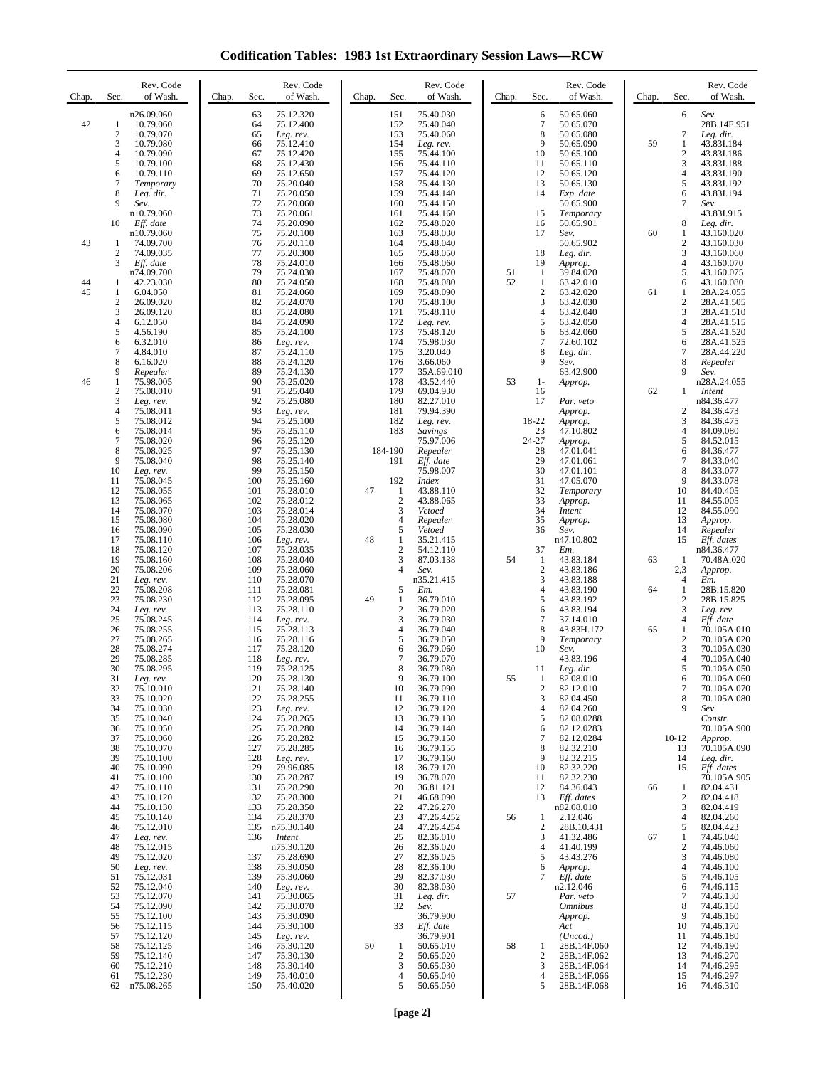**Codification Tables: 1983 1st Extraordinary Session Laws—RCW**

| Chap.    | Sec.                                                            | Rev. Code<br>of Wash.                                                                   | Rev. Code<br>of Wash.<br>Chap.<br>Sec.                                                                                                               | Sec.<br>Chap.                                                                           | Rev. Code<br>of Wash.                                                                                       | Chap. | Sec.                                                    | Rev. Code<br>of Wash.                                                                          | Chap.    | Sec.                                                                   | Rev. Code<br>of Wash.                                                                                 |
|----------|-----------------------------------------------------------------|-----------------------------------------------------------------------------------------|------------------------------------------------------------------------------------------------------------------------------------------------------|-----------------------------------------------------------------------------------------|-------------------------------------------------------------------------------------------------------------|-------|---------------------------------------------------------|------------------------------------------------------------------------------------------------|----------|------------------------------------------------------------------------|-------------------------------------------------------------------------------------------------------|
| 42       | 1<br>$\boldsymbol{2}$<br>3<br>$\overline{4}$<br>5               | n26.09.060<br>10.79.060<br>10.79.070<br>10.79.080<br>10.79.090<br>10.79.100             | 75.12.320<br>63<br>64<br>75.12.400<br>65<br>Leg. rev.<br>75.12.410<br>66<br>67<br>75.12.420<br>68<br>75.12.430                                       | 151<br>152<br>153<br>154<br>155<br>156                                                  | 75.40.030<br>75.40.040<br>75.40.060<br>Leg. rev.<br>75.44.100<br>75.44.110                                  |       | 6<br>7<br>8<br>9<br>10<br>11                            | 50.65.060<br>50.65.070<br>50.65.080<br>50.65.090<br>50.65.100<br>50.65.110                     | 59       | 6<br>7<br>1<br>2<br>3                                                  | Sev.<br>28B.14F.951<br>Leg. dir.<br>43.83I.184<br>43.83I.186<br>43.83I.188                            |
|          | 6<br>7<br>8<br>9<br>10                                          | 10.79.110<br>Temporary<br>Leg. dir.<br>Sev.<br>n10.79.060<br>Eff. date<br>n10.79.060    | 69<br>75.12.650<br>70<br>75.20.040<br>71<br>75.20.050<br>72<br>75.20.060<br>73<br>75.20.061<br>74<br>75.20.090<br>75<br>75.20.100                    | 157<br>158<br>159<br>160<br>161<br>162<br>163                                           | 75.44.120<br>75.44.130<br>75.44.140<br>75.44.150<br>75.44.160<br>75.48.020<br>75.48.030                     |       | 12<br>13<br>14<br>15<br>16<br>17                        | 50.65.120<br>50.65.130<br>Exp. date<br>50.65.900<br>Temporary<br>50.65.901<br>Sev.             | 60       | 4<br>5<br>6<br>7<br>8<br>1                                             | 43.83I.190<br>43.83I.192<br>43.83I.194<br>Sev.<br>43.83I.915<br>Leg. dir.<br>43.160.020               |
| 43       | 1<br>$\overline{c}$<br>3                                        | 74.09.700<br>74.09.035<br>Eff. date<br>n74.09.700                                       | 76<br>75.20.110<br>77<br>75.20.300<br>78<br>75.24.010<br>79<br>75.24.030                                                                             | 164<br>165<br>166<br>167                                                                | 75.48.040<br>75.48.050<br>75.48.060<br>75.48.070                                                            | 51    | 18<br>19<br>-1                                          | 50.65.902<br>Leg. dir.<br>Approp.<br>39.84.020                                                 |          | 2<br>3<br>4<br>5                                                       | 43.160.030<br>43.160.060<br>43.160.070<br>43.160.075                                                  |
| 44<br>45 | 1<br>1<br>2<br>3<br>4<br>5                                      | 42.23.030<br>6.04.050<br>26.09.020<br>26.09.120<br>6.12.050<br>4.56.190                 | 80<br>75.24.050<br>81<br>75.24.060<br>82<br>75.24.070<br>83<br>75.24.080<br>84<br>75.24.090<br>85<br>75.24.100                                       | 168<br>169<br>170<br>171<br>172<br>173<br>174                                           | 75.48.080<br>75.48.090<br>75.48.100<br>75.48.110<br>Leg. rev.<br>75.48.120                                  | 52    | $\mathbf{1}$<br>$\overline{2}$<br>3<br>4<br>5<br>6<br>7 | 63.42.010<br>63.42.020<br>63.42.030<br>63.42.040<br>63.42.050<br>63.42.060                     | 61       | 6<br>1<br>$\boldsymbol{2}$<br>3<br>4<br>5                              | 43.160.080<br>28A.24.055<br>28A.41.505<br>28A.41.510<br>28A.41.515<br>28A.41.520                      |
| 46       | 6<br>$\overline{7}$<br>8<br>9<br>1<br>2                         | 6.32.010<br>4.84.010<br>6.16.020<br>Repealer<br>75.98.005<br>75.08.010                  | 86<br>Leg. rev.<br>87<br>75.24.110<br>88<br>75.24.120<br>89<br>75.24.130<br>90<br>75.25.020<br>91<br>75.25.040                                       | 175<br>176<br>177<br>178<br>179                                                         | 75.98.030<br>3.20.040<br>3.66.060<br>35A.69.010<br>43.52.440<br>69.04.930                                   | 53    | 8<br>9<br>$1-$<br>16                                    | 72.60.102<br>Leg. dir.<br>Sev.<br>63.42.900<br>Approp.                                         | 62       | 6<br>7<br>8<br>9<br>1                                                  | 28A.41.525<br>28A.44.220<br>Repealer<br>Sev.<br>n28A.24.055<br>Intent                                 |
|          | 3<br>$\overline{4}$<br>5<br>6<br>$\overline{7}$<br>8<br>9<br>10 | Leg. rev.<br>75.08.011<br>75.08.012<br>75.08.014<br>75.08.020<br>75.08.025<br>75.08.040 | 92<br>75.25.080<br>93<br>Leg. rev.<br>94<br>75.25.100<br>95<br>75.25.110<br>96<br>75.25.120<br>97<br>75.25.130<br>98<br>75.25.140<br>99<br>75.25.150 | 180<br>181<br>182<br>183<br>184-190<br>191                                              | 82.27.010<br>79.94.390<br>Leg. rev.<br><b>Savings</b><br>75.97.006<br>Repealer<br>Eff. date<br>75.98.007    |       | 17<br>18-22<br>23<br>24-27<br>28<br>29<br>30            | Par. veto<br>Approp.<br>Approp.<br>47.10.802<br>Approp.<br>47.01.041<br>47.01.061<br>47.01.101 |          | 2<br>3<br>4<br>5<br>6<br>7<br>8                                        | n84.36.477<br>84.36.473<br>84.36.475<br>84.09.080<br>84.52.015<br>84.36.477<br>84.33.040<br>84.33.077 |
|          | 11<br>12<br>13<br>14<br>15<br>16                                | Leg. rev.<br>75.08.045<br>75.08.055<br>75.08.065<br>75.08.070<br>75.08.080<br>75.08.090 | 100<br>75.25.160<br>101<br>75.28.010<br>102<br>75.28.012<br>103<br>75.28.014<br>104<br>75.28.020<br>105<br>75.28.030                                 | 192<br>47<br>1<br>$\overline{2}$<br>3<br>4<br>5                                         | <b>Index</b><br>43.88.110<br>43.88.065<br>Vetoed<br>Repealer<br>Vetoed                                      |       | 31<br>32<br>33<br>34<br>35<br>36                        | 47.05.070<br>Temporary<br>Approp.<br>Intent<br>Approp.<br>Sev.                                 |          | 9<br>10<br>11<br>12<br>13<br>14                                        | 84.33.078<br>84.40.405<br>84.55.005<br>84.55.090<br>Approp.<br>Repealer                               |
|          | 17<br>18<br>19<br>20<br>21<br>22                                | 75.08.110<br>75.08.120<br>75.08.160<br>75.08.206<br>Leg. rev.<br>75.08.208              | 106<br>Leg. rev.<br>107<br>75.28.035<br>108<br>75.28.040<br>109<br>75.28.060<br>110<br>75.28.070<br>111<br>75.28.081                                 | 48<br>$\mathbf{1}$<br>$\overline{4}$<br>5                                               | 35.21.415<br>$\overline{c}$<br>54.12.110<br>3<br>87.03.138<br>Sev.<br>n35.21.415<br>Em.                     | 54    | 37<br>-1<br>$\overline{2}$<br>3<br>4                    | n47.10.802<br>Em.<br>43.83.184<br>43.83.186<br>43.83.188<br>43.83.190                          | 63<br>64 | 15<br>-1<br>2,3<br>4<br>1                                              | Eff. dates<br>n84.36.477<br>70.48A.020<br>Approp.<br>Em.<br>28B.15.820                                |
|          | 23<br>24<br>25<br>26<br>27<br>28<br>29                          | 75.08.230<br>Leg. rev.<br>75.08.245<br>75.08.255<br>75.08.265<br>75.08.274<br>75.08.285 | 112<br>75.28.095<br>113<br>75.28.110<br>114<br>Leg. rev.<br>115<br>75.28.113<br>75.28.116<br>116<br>117<br>75.28.120<br>118<br>Leg. rev.             | 49<br>$\mathbf{1}$<br>$\overline{2}$<br>3<br>$\overline{4}$<br>5<br>6<br>$\overline{7}$ | 36.79.010<br>36.79.020<br>36.79.030<br>36.79.040<br>36.79.050<br>36.79.060<br>36.79.070                     |       | 5<br>6<br>7<br>8<br>9<br>10                             | 43.83.192<br>43.83.194<br>37.14.010<br>43.83H.172<br>Temporary<br>Sev.<br>43.83.196            | 65       | $\boldsymbol{2}$<br>3<br>4<br>1<br>$\mathbf{2}$<br>3<br>$\overline{4}$ | 28B.15.825<br>Leg. rev.<br>Eff. date<br>70.105A.010<br>70.105A.020<br>70.105A.030<br>70.105A.040      |
|          | 30<br>31<br>32<br>33<br>34<br>35<br>36                          | 75.08.295<br>Leg. rev.<br>75.10.010<br>75.10.020<br>75.10.030<br>75.10.040<br>75.10.050 | 119<br>75.28.125<br>120<br>75.28.130<br>121<br>75.28.140<br>122<br>75.28.255<br>123<br>Leg. rev.<br>124<br>75.28.265<br>75.28.280<br>125             | 8<br>10<br>11<br>12<br>13<br>14                                                         | 36.79.080<br>9<br>36.79.100<br>36.79.090<br>36.79.110<br>36.79.120<br>36.79.130<br>36.79.140                | 55    | 11<br>1<br>$\overline{\mathbf{c}}$<br>3<br>4<br>5<br>6  | Leg. dir.<br>82.08.010<br>82.12.010<br>82.04.450<br>82.04.260<br>82.08.0288<br>82.12.0283      |          | 5<br>6<br>7<br>8<br>9                                                  | 70.105A.050<br>70.105A.060<br>70.105A.070<br>70.105A.080<br>Sev.<br>Constr.<br>70.105A.900            |
|          | 37<br>38<br>39<br>40<br>41<br>42<br>43                          | 75.10.060<br>75.10.070<br>75.10.100<br>75.10.090<br>75.10.100<br>75.10.110<br>75.10.120 | 126<br>75.28.282<br>127<br>75.28.285<br>128<br>Leg. rev.<br>129<br>79.96.085<br>130<br>75.28.287<br>131<br>75.28.290<br>132<br>75.28.300             | 15<br>16<br>17<br>18<br>19<br>20<br>21                                                  | 36.79.150<br>36.79.155<br>36.79.160<br>36.79.170<br>36.78.070<br>36.81.121<br>46.68.090                     |       | $\tau$<br>8<br>9<br>10<br>11<br>12<br>13                | 82.12.0284<br>82.32.210<br>82.32.215<br>82.32.220<br>82.32.230<br>84.36.043<br>Eff. dates      | 66       | $10 - 12$<br>13<br>14<br>15<br>1<br>$\boldsymbol{2}$                   | Approp.<br>70.105A.090<br>Leg. dir.<br>Eff. dates<br>70.105A.905<br>82.04.431<br>82.04.418            |
|          | 44<br>45<br>46<br>47<br>48<br>49<br>50                          | 75.10.130<br>75.10.140<br>75.12.010<br>Leg. rev.<br>75.12.015<br>75.12.020<br>Leg. rev. | 133<br>75.28.350<br>75.28.370<br>134<br>135<br>n75.30.140<br>136<br>Intent<br>n75.30.120<br>137<br>75.28.690<br>138<br>75.30.050                     | 22<br>23<br>24<br>25<br>26<br>27<br>28                                                  | 47.26.270<br>47.26.4252<br>47.26.4254<br>82.36.010<br>82.36.020<br>82.36.025<br>82.36.100                   | 56    | $\mathbf{1}$<br>2<br>3<br>4<br>5<br>6                   | n82.08.010<br>2.12.046<br>28B.10.431<br>41.32.486<br>41.40.199<br>43.43.276<br>Approp.         | 67       | 3<br>$\overline{4}$<br>5<br>1<br>$\mathfrak{2}$<br>3<br>$\overline{4}$ | 82.04.419<br>82.04.260<br>82.04.423<br>74.46.040<br>74.46.060<br>74.46.080<br>74.46.100               |
|          | 51<br>52<br>53<br>54<br>55<br>56<br>57                          | 75.12.031<br>75.12.040<br>75.12.070<br>75.12.090<br>75.12.100<br>75.12.115<br>75.12.120 | 139<br>75.30.060<br>140<br>Leg. rev.<br>75.30.065<br>141<br>142<br>75.30.070<br>143<br>75.30.090<br>144<br>75.30.100<br>145<br>Leg. rev.             | 29<br>30<br>31<br>32<br>33                                                              | 82.37.030<br>82.38.030<br>Leg. dir.<br>Sev.<br>36.79.900<br>Eff. date<br>36.79.901                          | 57    | 7                                                       | Eff. date<br>n2.12.046<br>Par. veto<br><b>Omnibus</b><br>Approp.<br>Act<br>(Uncod.)            |          | 5<br>6<br>7<br>8<br>9<br>10<br>11                                      | 74.46.105<br>74.46.115<br>74.46.130<br>74.46.150<br>74.46.160<br>74.46.170<br>74.46.180               |
|          | 58<br>59<br>60<br>61<br>62                                      | 75.12.125<br>75.12.140<br>75.12.210<br>75.12.230<br>n75.08.265                          | 75.30.120<br>146<br>147<br>75.30.130<br>75.30.140<br>148<br>149<br>75.40.010<br>75.40.020<br>150                                                     | 50<br>1                                                                                 | 50.65.010<br>$\overline{c}$<br>50.65.020<br>3<br>50.65.030<br>$\overline{4}$<br>50.65.040<br>5<br>50.65.050 | 58    | 1<br>$\overline{2}$<br>3<br>4<br>5                      | 28B.14F.060<br>28B.14F.062<br>28B.14F.064<br>28B.14F.066<br>28B.14F.068                        |          | 12<br>13<br>14<br>15<br>16                                             | 74.46.190<br>74.46.270<br>74.46.295<br>74.46.297<br>74.46.310                                         |